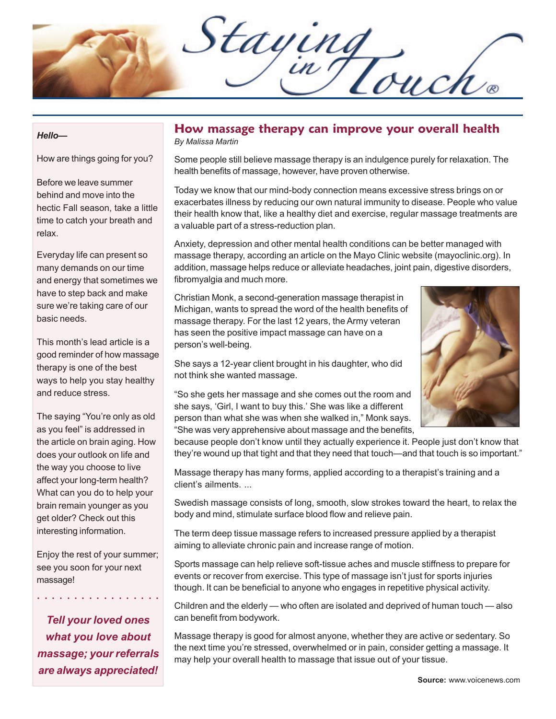Staying

## *Hello—*

How are things going for you?

Before we leave summer behind and move into the hectic Fall season, take a little time to catch your breath and relax.

Everyday life can present so many demands on our time and energy that sometimes we have to step back and make sure we're taking care of our basic needs.

This month's lead article is a good reminder of how massage therapy is one of the best ways to help you stay healthy and reduce stress.

The saying "You're only as old as you feel" is addressed in the article on brain aging. How does your outlook on life and the way you choose to live affect your long-term health? What can you do to help your brain remain younger as you get older? Check out this interesting information.

Enjoy the rest of your summer; see you soon for your next massage!

○○○○ ○○○○○○○○○○○○○

*Tell your loved ones what you love about massage; your referrals are always appreciated!*

## **How massage therapy can improve your overall health** *By Malissa Martin*

Some people still believe massage therapy is an indulgence purely for relaxation. The health benefits of massage, however, have proven otherwise.

Today we know that our mind-body connection means excessive stress brings on or exacerbates illness by reducing our own natural immunity to disease. People who value their health know that, like a healthy diet and exercise, regular massage treatments are a valuable part of a stress-reduction plan.

Anxiety, depression and other mental health conditions can be better managed with massage therapy, according an article on the Mayo Clinic website (mayoclinic.org). In addition, massage helps reduce or alleviate headaches, joint pain, digestive disorders, fibromyalgia and much more.

Christian Monk, a second-generation massage therapist in Michigan, wants to spread the word of the health benefits of massage therapy. For the last 12 years, the Army veteran has seen the positive impact massage can have on a person's well-being.



She says a 12-year client brought in his daughter, who did not think she wanted massage.

"So she gets her massage and she comes out the room and she says, 'Girl, I want to buy this.' She was like a different person than what she was when she walked in," Monk says. "She was very apprehensive about massage and the benefits,

because people don't know until they actually experience it. People just don't know that they're wound up that tight and that they need that touch—and that touch is so important."

Massage therapy has many forms, applied according to a therapist's training and a client's ailments. ...

Swedish massage consists of long, smooth, slow strokes toward the heart, to relax the body and mind, stimulate surface blood flow and relieve pain.

The term deep tissue massage refers to increased pressure applied by a therapist aiming to alleviate chronic pain and increase range of motion.

Sports massage can help relieve soft-tissue aches and muscle stiffness to prepare for events or recover from exercise. This type of massage isn't just for sports injuries though. It can be beneficial to anyone who engages in repetitive physical activity.

Children and the elderly — who often are isolated and deprived of human touch — also can benefit from bodywork.

Massage therapy is good for almost anyone, whether they are active or sedentary. So the next time you're stressed, overwhelmed or in pain, consider getting a massage. It may help your overall health to massage that issue out of your tissue.